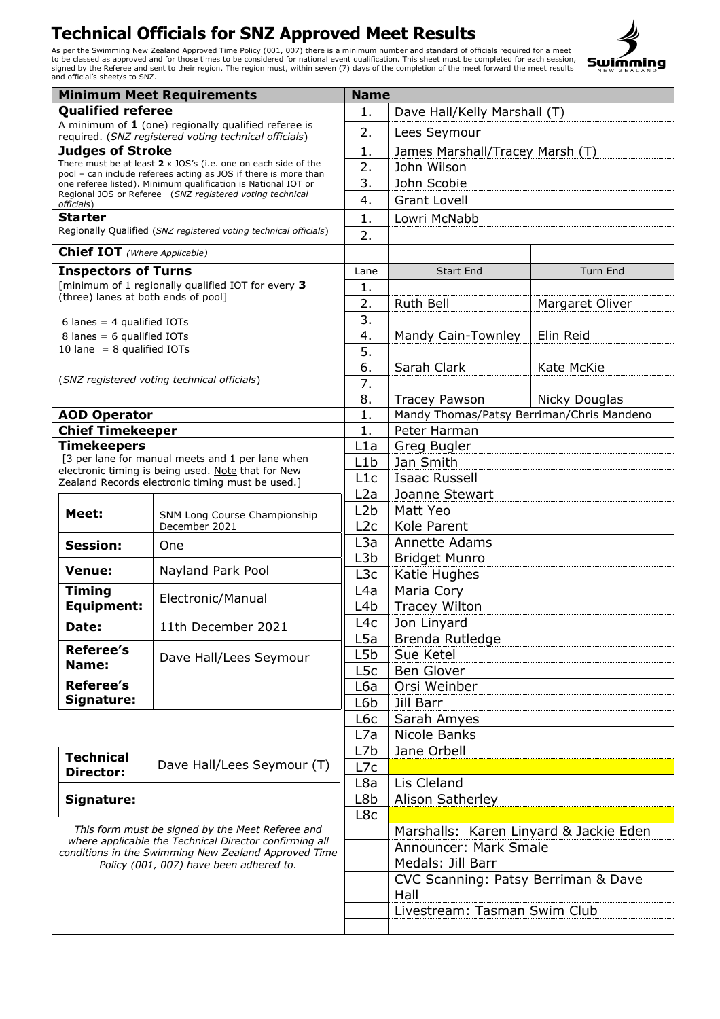

| <b>Minimum Meet Requirements</b>                                                                                                                                                                              |                                                                                                                                  |                  | <b>Name</b>                               |                 |  |
|---------------------------------------------------------------------------------------------------------------------------------------------------------------------------------------------------------------|----------------------------------------------------------------------------------------------------------------------------------|------------------|-------------------------------------------|-----------------|--|
| <b>Qualified referee</b>                                                                                                                                                                                      |                                                                                                                                  | 1.               | Dave Hall/Kelly Marshall (T)              |                 |  |
| A minimum of $1$ (one) regionally qualified referee is<br>required. (SNZ registered voting technical officials)                                                                                               |                                                                                                                                  | 2.               | Lees Seymour                              |                 |  |
| <b>Judges of Stroke</b>                                                                                                                                                                                       |                                                                                                                                  | 1.               | James Marshall/Tracey Marsh (T)           |                 |  |
|                                                                                                                                                                                                               | There must be at least 2 x JOS's (i.e. one on each side of the                                                                   | 2.               | John Wilson                               |                 |  |
|                                                                                                                                                                                                               | pool - can include referees acting as JOS if there is more than<br>one referee listed). Minimum qualification is National IOT or | 3.               | John Scobie                               |                 |  |
|                                                                                                                                                                                                               | Regional JOS or Referee (SNZ registered voting technical                                                                         | 4.               | <b>Grant Lovell</b>                       |                 |  |
| officials)                                                                                                                                                                                                    |                                                                                                                                  |                  |                                           |                 |  |
| <b>Starter</b>                                                                                                                                                                                                | Regionally Qualified (SNZ registered voting technical officials)                                                                 | 1.               | Lowri McNabb                              |                 |  |
| <b>Chief IOT</b> (Where Applicable)                                                                                                                                                                           |                                                                                                                                  | 2.               |                                           |                 |  |
|                                                                                                                                                                                                               |                                                                                                                                  |                  |                                           |                 |  |
| <b>Inspectors of Turns</b>                                                                                                                                                                                    |                                                                                                                                  | Lane             | <b>Start End</b>                          | Turn End        |  |
| (three) lanes at both ends of pool]                                                                                                                                                                           | [minimum of 1 regionally qualified IOT for every 3                                                                               | 1.               |                                           |                 |  |
|                                                                                                                                                                                                               |                                                                                                                                  | 2.               | Ruth Bell                                 | Margaret Oliver |  |
| 6 lanes = $4$ qualified IOTs                                                                                                                                                                                  |                                                                                                                                  | 3.               |                                           |                 |  |
| 8 lanes = $6$ qualified IOTs                                                                                                                                                                                  |                                                                                                                                  | 4.               | Mandy Cain-Townley                        | Elin Reid       |  |
| 10 lane $= 8$ qualified IOTs                                                                                                                                                                                  |                                                                                                                                  | 5.               |                                           |                 |  |
|                                                                                                                                                                                                               |                                                                                                                                  | 6.               | Sarah Clark                               | Kate McKie      |  |
|                                                                                                                                                                                                               | (SNZ registered voting technical officials)                                                                                      | 7.               |                                           |                 |  |
|                                                                                                                                                                                                               |                                                                                                                                  | 8.               | <b>Tracey Pawson</b>                      | Nicky Douglas   |  |
| <b>AOD Operator</b>                                                                                                                                                                                           |                                                                                                                                  | 1.               | Mandy Thomas/Patsy Berriman/Chris Mandeno |                 |  |
| <b>Chief Timekeeper</b>                                                                                                                                                                                       |                                                                                                                                  | 1.               | Peter Harman                              |                 |  |
| Timekeepers                                                                                                                                                                                                   |                                                                                                                                  | L1a              | Greg Bugler                               |                 |  |
|                                                                                                                                                                                                               | [3 per lane for manual meets and 1 per lane when                                                                                 | L1b              | Jan Smith                                 |                 |  |
|                                                                                                                                                                                                               | electronic timing is being used. Note that for New                                                                               | L1c              | <b>Isaac Russell</b>                      |                 |  |
|                                                                                                                                                                                                               | Zealand Records electronic timing must be used.]                                                                                 | L2a              | Joanne Stewart                            |                 |  |
|                                                                                                                                                                                                               | SNM Long Course Championship<br>December 2021                                                                                    | L2b              | Matt Yeo                                  |                 |  |
| Meet:                                                                                                                                                                                                         |                                                                                                                                  | L2c              | Kole Parent                               |                 |  |
|                                                                                                                                                                                                               |                                                                                                                                  | L3a              | Annette Adams                             |                 |  |
| <b>Session:</b>                                                                                                                                                                                               | One                                                                                                                              | L3b              |                                           |                 |  |
| <b>Venue:</b>                                                                                                                                                                                                 | Nayland Park Pool                                                                                                                | L <sub>3</sub> c | <b>Bridget Munro</b><br>Katie Hughes      |                 |  |
| <b>Timing</b>                                                                                                                                                                                                 |                                                                                                                                  | L4a              | Maria Cory                                |                 |  |
| <b>Equipment:</b>                                                                                                                                                                                             | Electronic/Manual                                                                                                                | L4b              | <b>Tracey Wilton</b>                      |                 |  |
|                                                                                                                                                                                                               |                                                                                                                                  | L4c              | Jon Linyard                               |                 |  |
| Date:                                                                                                                                                                                                         | 11th December 2021                                                                                                               | L <sub>5</sub> a | Brenda Rutledge                           |                 |  |
| <b>Referee's</b>                                                                                                                                                                                              | Dave Hall/Lees Seymour                                                                                                           | L5b              | Sue Ketel                                 |                 |  |
| Name:                                                                                                                                                                                                         |                                                                                                                                  | L5c              | <b>Ben Glover</b>                         |                 |  |
| <b>Referee's</b>                                                                                                                                                                                              |                                                                                                                                  | L6a              | Orsi Weinber                              |                 |  |
| Signature:                                                                                                                                                                                                    |                                                                                                                                  | Jill Barr<br>L6b |                                           |                 |  |
|                                                                                                                                                                                                               |                                                                                                                                  | L6c              | Sarah Amyes                               |                 |  |
|                                                                                                                                                                                                               |                                                                                                                                  | L7a              | Nicole Banks                              |                 |  |
|                                                                                                                                                                                                               |                                                                                                                                  | L7b              | Jane Orbell                               |                 |  |
| <b>Technical</b><br><b>Director:</b>                                                                                                                                                                          | Dave Hall/Lees Seymour (T)                                                                                                       | L7c              |                                           |                 |  |
|                                                                                                                                                                                                               |                                                                                                                                  | L8a              | Lis Cleland                               |                 |  |
|                                                                                                                                                                                                               |                                                                                                                                  |                  |                                           |                 |  |
| Signature:                                                                                                                                                                                                    |                                                                                                                                  | L8b              | <b>Alison Satherley</b>                   |                 |  |
| This form must be signed by the Meet Referee and<br>where applicable the Technical Director confirming all<br>conditions in the Swimming New Zealand Approved Time<br>Policy (001, 007) have been adhered to. |                                                                                                                                  | L8c              |                                           |                 |  |
|                                                                                                                                                                                                               |                                                                                                                                  |                  | Marshalls: Karen Linyard & Jackie Eden    |                 |  |
|                                                                                                                                                                                                               |                                                                                                                                  |                  | Announcer: Mark Smale                     |                 |  |
|                                                                                                                                                                                                               |                                                                                                                                  |                  | Medals: Jill Barr                         |                 |  |
|                                                                                                                                                                                                               |                                                                                                                                  |                  | CVC Scanning: Patsy Berriman & Dave       |                 |  |
|                                                                                                                                                                                                               |                                                                                                                                  |                  | Hall                                      |                 |  |
|                                                                                                                                                                                                               |                                                                                                                                  |                  | Livestream: Tasman Swim Club              |                 |  |
|                                                                                                                                                                                                               |                                                                                                                                  |                  |                                           |                 |  |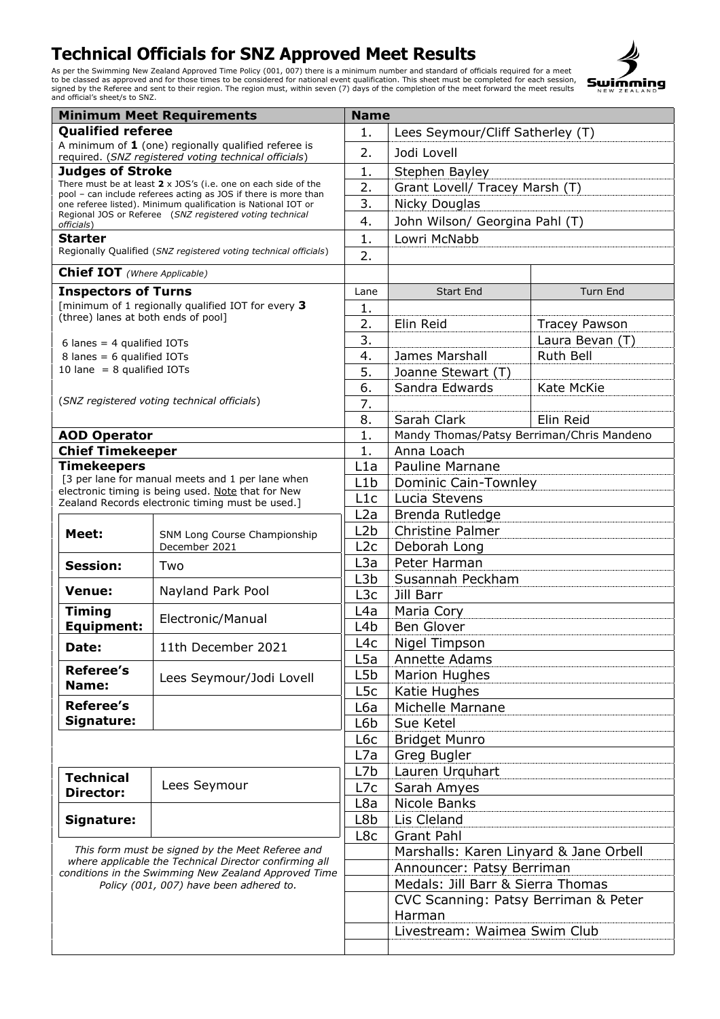

| <b>Minimum Meet Requirements</b>                                                                                                                                                                              |                                                                                                                           |                  | <b>Name</b>                                    |                      |  |
|---------------------------------------------------------------------------------------------------------------------------------------------------------------------------------------------------------------|---------------------------------------------------------------------------------------------------------------------------|------------------|------------------------------------------------|----------------------|--|
| <b>Qualified referee</b>                                                                                                                                                                                      |                                                                                                                           | 1.               | Lees Seymour/Cliff Satherley (T)               |                      |  |
| A minimum of $1$ (one) regionally qualified referee is                                                                                                                                                        |                                                                                                                           | 2.               | Jodi Lovell                                    |                      |  |
| <b>Judges of Stroke</b>                                                                                                                                                                                       | required. (SNZ registered voting technical officials)                                                                     | 1.               |                                                |                      |  |
|                                                                                                                                                                                                               | There must be at least $2 \times$ JOS's (i.e. one on each side of the                                                     |                  | Stephen Bayley                                 |                      |  |
|                                                                                                                                                                                                               | pool - can include referees acting as JOS if there is more than                                                           | 2.               | Grant Lovell/ Tracey Marsh (T)                 |                      |  |
|                                                                                                                                                                                                               | one referee listed). Minimum qualification is National IOT or<br>Regional JOS or Referee (SNZ registered voting technical | 3.               | Nicky Douglas                                  |                      |  |
| officials)                                                                                                                                                                                                    |                                                                                                                           | 4.               | John Wilson/ Georgina Pahl (T)                 |                      |  |
| <b>Starter</b>                                                                                                                                                                                                |                                                                                                                           | 1.               | Lowri McNabb                                   |                      |  |
|                                                                                                                                                                                                               | Regionally Qualified (SNZ registered voting technical officials)                                                          | 2.               |                                                |                      |  |
| <b>Chief IOT</b> (Where Applicable)                                                                                                                                                                           |                                                                                                                           |                  |                                                |                      |  |
| <b>Inspectors of Turns</b>                                                                                                                                                                                    |                                                                                                                           | Lane             | <b>Start End</b>                               | <b>Turn End</b>      |  |
|                                                                                                                                                                                                               | [minimum of 1 regionally qualified IOT for every 3                                                                        | 1.               |                                                |                      |  |
| (three) lanes at both ends of pool]                                                                                                                                                                           |                                                                                                                           | 2.               | Elin Reid                                      | <b>Tracey Pawson</b> |  |
| 6 lanes = $4$ qualified IOTs                                                                                                                                                                                  |                                                                                                                           | 3.               |                                                | Laura Bevan (T)      |  |
| $8$ lanes = 6 qualified IOTs                                                                                                                                                                                  |                                                                                                                           | 4.               | James Marshall                                 | Ruth Bell            |  |
| 10 lane = $8$ qualified IOTs                                                                                                                                                                                  |                                                                                                                           | 5.               | Joanne Stewart (T)                             |                      |  |
|                                                                                                                                                                                                               |                                                                                                                           | 6.               | Sandra Edwards                                 | Kate McKie           |  |
|                                                                                                                                                                                                               | (SNZ registered voting technical officials)                                                                               | 7.               |                                                |                      |  |
|                                                                                                                                                                                                               |                                                                                                                           | 8.               | Sarah Clark                                    | Elin Reid            |  |
|                                                                                                                                                                                                               |                                                                                                                           | 1.               |                                                |                      |  |
| <b>AOD Operator</b>                                                                                                                                                                                           |                                                                                                                           | 1.               | Mandy Thomas/Patsy Berriman/Chris Mandeno      |                      |  |
| <b>Chief Timekeeper</b>                                                                                                                                                                                       |                                                                                                                           |                  | Anna Loach                                     |                      |  |
| <b>Timekeepers</b><br>[3 per lane for manual meets and 1 per lane when                                                                                                                                        |                                                                                                                           | L1a              | <b>Pauline Marnane</b>                         |                      |  |
|                                                                                                                                                                                                               | electronic timing is being used. Note that for New                                                                        | L1b              | Dominic Cain-Townley                           |                      |  |
|                                                                                                                                                                                                               | Zealand Records electronic timing must be used.]                                                                          | L1c              | Lucia Stevens                                  |                      |  |
|                                                                                                                                                                                                               | SNM Long Course Championship<br>December 2021                                                                             | L2a              | Brenda Rutledge                                |                      |  |
| Meet:                                                                                                                                                                                                         |                                                                                                                           | L <sub>2</sub> b | <b>Christine Palmer</b>                        |                      |  |
|                                                                                                                                                                                                               |                                                                                                                           | L2c              | Deborah Long                                   |                      |  |
| <b>Session:</b>                                                                                                                                                                                               | Two                                                                                                                       | L3a              | Peter Harman                                   |                      |  |
|                                                                                                                                                                                                               |                                                                                                                           | L <sub>3</sub> b | Susannah Peckham                               |                      |  |
| <b>Venue:</b>                                                                                                                                                                                                 | Nayland Park Pool                                                                                                         | L <sub>3</sub> c | Jill Barr                                      |                      |  |
| <b>Timing</b>                                                                                                                                                                                                 | Electronic/Manual                                                                                                         | L4a              | Maria Cory                                     |                      |  |
| <b>Equipment:</b>                                                                                                                                                                                             |                                                                                                                           | L <sub>4</sub> b | <b>Ben Glover</b>                              |                      |  |
| Date:                                                                                                                                                                                                         | 11th December 2021                                                                                                        | L4c              | Nigel Timpson                                  |                      |  |
|                                                                                                                                                                                                               |                                                                                                                           | L5a              | Annette Adams                                  |                      |  |
| <b>Referee's</b>                                                                                                                                                                                              | Lees Seymour/Jodi Lovell                                                                                                  | L <sub>5</sub> b | <b>Marion Hughes</b>                           |                      |  |
| Name:                                                                                                                                                                                                         |                                                                                                                           | L <sub>5</sub> c | Katie Hughes                                   |                      |  |
| Referee's                                                                                                                                                                                                     |                                                                                                                           | L6a              | Michelle Marnane                               |                      |  |
| Signature:                                                                                                                                                                                                    |                                                                                                                           | L6b              | Sue Ketel                                      |                      |  |
|                                                                                                                                                                                                               |                                                                                                                           | L6c              | <b>Bridget Munro</b>                           |                      |  |
|                                                                                                                                                                                                               |                                                                                                                           | L7a              | Greg Bugler                                    |                      |  |
| <b>Technical</b>                                                                                                                                                                                              |                                                                                                                           | L7b              | Lauren Urquhart                                |                      |  |
| Director:                                                                                                                                                                                                     | Lees Seymour                                                                                                              | L7c              | Sarah Amyes                                    |                      |  |
|                                                                                                                                                                                                               |                                                                                                                           | L8a              | Nicole Banks                                   |                      |  |
| Signature:                                                                                                                                                                                                    |                                                                                                                           | L8b              | Lis Cleland                                    |                      |  |
|                                                                                                                                                                                                               |                                                                                                                           | L8c              | <b>Grant Pahl</b>                              |                      |  |
| This form must be signed by the Meet Referee and<br>where applicable the Technical Director confirming all<br>conditions in the Swimming New Zealand Approved Time<br>Policy (001, 007) have been adhered to. |                                                                                                                           |                  | Marshalls: Karen Linyard & Jane Orbell         |                      |  |
|                                                                                                                                                                                                               |                                                                                                                           |                  | Announcer: Patsy Berriman                      |                      |  |
|                                                                                                                                                                                                               |                                                                                                                           |                  | Medals: Jill Barr & Sierra Thomas              |                      |  |
|                                                                                                                                                                                                               |                                                                                                                           |                  |                                                |                      |  |
|                                                                                                                                                                                                               |                                                                                                                           |                  | CVC Scanning: Patsy Berriman & Peter<br>Harman |                      |  |
|                                                                                                                                                                                                               |                                                                                                                           |                  | Livestream: Waimea Swim Club                   |                      |  |
|                                                                                                                                                                                                               |                                                                                                                           |                  |                                                |                      |  |
|                                                                                                                                                                                                               |                                                                                                                           |                  |                                                |                      |  |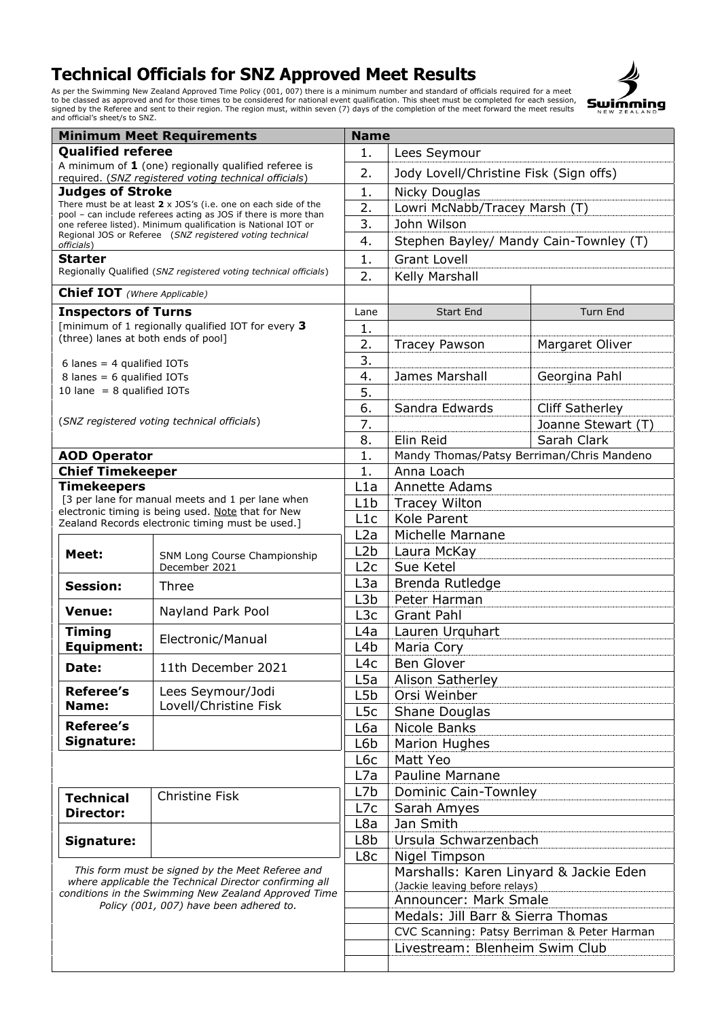

| <b>Minimum Meet Requirements</b>                                                                                                                                                                              |                                                                                                                                  | <b>Name</b>      |                                             |                        |  |
|---------------------------------------------------------------------------------------------------------------------------------------------------------------------------------------------------------------|----------------------------------------------------------------------------------------------------------------------------------|------------------|---------------------------------------------|------------------------|--|
| <b>Qualified referee</b>                                                                                                                                                                                      |                                                                                                                                  | 1.               | Lees Seymour                                |                        |  |
| A minimum of $1$ (one) regionally qualified referee is<br>required. (SNZ registered voting technical officials)                                                                                               |                                                                                                                                  | 2.               | Jody Lovell/Christine Fisk (Sign offs)      |                        |  |
| <b>Judges of Stroke</b>                                                                                                                                                                                       |                                                                                                                                  | 1.               | Nicky Douglas                               |                        |  |
| There must be at least $2 \times$ JOS's (i.e. one on each side of the                                                                                                                                         |                                                                                                                                  | 2.               | Lowri McNabb/Tracey Marsh (T)               |                        |  |
|                                                                                                                                                                                                               | pool - can include referees acting as JOS if there is more than<br>one referee listed). Minimum qualification is National IOT or | 3.               | John Wilson                                 |                        |  |
|                                                                                                                                                                                                               | Regional JOS or Referee (SNZ registered voting technical                                                                         | 4.               |                                             |                        |  |
| officials)                                                                                                                                                                                                    |                                                                                                                                  |                  | Stephen Bayley/ Mandy Cain-Townley (T)      |                        |  |
| <b>Starter</b>                                                                                                                                                                                                | Regionally Qualified (SNZ registered voting technical officials)                                                                 | 1.               | <b>Grant Lovell</b>                         |                        |  |
|                                                                                                                                                                                                               |                                                                                                                                  | 2.               | Kelly Marshall                              |                        |  |
| <b>Chief IOT</b> (Where Applicable)                                                                                                                                                                           |                                                                                                                                  |                  |                                             |                        |  |
| <b>Inspectors of Turns</b>                                                                                                                                                                                    |                                                                                                                                  | Lane             | <b>Start End</b>                            | <b>Turn End</b>        |  |
| (three) lanes at both ends of pool]                                                                                                                                                                           | [minimum of 1 regionally qualified IOT for every 3                                                                               | 1.               |                                             |                        |  |
|                                                                                                                                                                                                               |                                                                                                                                  | 2.               | <b>Tracey Pawson</b>                        | Margaret Oliver        |  |
| 6 lanes = $4$ qualified IOTs                                                                                                                                                                                  |                                                                                                                                  | 3.               |                                             |                        |  |
| 8 lanes = $6$ qualified IOTs                                                                                                                                                                                  |                                                                                                                                  | 4.               | James Marshall                              | Georgina Pahl          |  |
| 10 lane $= 8$ qualified IOTs                                                                                                                                                                                  |                                                                                                                                  | 5.               |                                             |                        |  |
|                                                                                                                                                                                                               |                                                                                                                                  | 6.               | Sandra Edwards                              | <b>Cliff Satherley</b> |  |
|                                                                                                                                                                                                               | (SNZ registered voting technical officials)                                                                                      | 7.               |                                             | Joanne Stewart (T)     |  |
|                                                                                                                                                                                                               |                                                                                                                                  | 8.               | Elin Reid                                   | Sarah Clark            |  |
| <b>AOD Operator</b>                                                                                                                                                                                           |                                                                                                                                  | 1.               | Mandy Thomas/Patsy Berriman/Chris Mandeno   |                        |  |
| <b>Chief Timekeeper</b>                                                                                                                                                                                       |                                                                                                                                  | 1.               | Anna Loach                                  |                        |  |
| <b>Timekeepers</b>                                                                                                                                                                                            |                                                                                                                                  | L1a              | Annette Adams                               |                        |  |
|                                                                                                                                                                                                               | [3 per lane for manual meets and 1 per lane when                                                                                 | L1b              | <b>Tracey Wilton</b>                        |                        |  |
|                                                                                                                                                                                                               | electronic timing is being used. Note that for New<br>Zealand Records electronic timing must be used.]                           | L1c              | Kole Parent                                 |                        |  |
|                                                                                                                                                                                                               |                                                                                                                                  | L2a              | Michelle Marnane                            |                        |  |
| Meet:                                                                                                                                                                                                         | SNM Long Course Championship<br>December 2021                                                                                    | L2b              | Laura McKay                                 |                        |  |
|                                                                                                                                                                                                               |                                                                                                                                  | L <sub>2</sub> c | Sue Ketel                                   |                        |  |
| <b>Session:</b>                                                                                                                                                                                               |                                                                                                                                  | L3a              | Brenda Rutledge                             |                        |  |
|                                                                                                                                                                                                               | Three                                                                                                                            | L3b              | Peter Harman                                |                        |  |
| <b>Venue:</b>                                                                                                                                                                                                 | Nayland Park Pool                                                                                                                | L <sub>3</sub> c | <b>Grant Pahl</b>                           |                        |  |
| <b>Timing</b>                                                                                                                                                                                                 |                                                                                                                                  | L4a              | Lauren Urquhart                             |                        |  |
| <b>Equipment:</b>                                                                                                                                                                                             | Electronic/Manual                                                                                                                | L <sub>4</sub> b | Maria Cory                                  |                        |  |
| Date:                                                                                                                                                                                                         | 11th December 2021                                                                                                               | L4c              | <b>Ben Glover</b>                           |                        |  |
| Referee's                                                                                                                                                                                                     |                                                                                                                                  | L5a              | <b>Alison Satherley</b>                     |                        |  |
|                                                                                                                                                                                                               | Lees Seymour/Jodi                                                                                                                | L5b              | Orsi Weinber                                |                        |  |
| Name:                                                                                                                                                                                                         | Lovell/Christine Fisk                                                                                                            | L <sub>5</sub> c | Shane Douglas                               |                        |  |
| <b>Referee's</b>                                                                                                                                                                                              |                                                                                                                                  | L6a              | Nicole Banks                                |                        |  |
| Signature:                                                                                                                                                                                                    |                                                                                                                                  | L6b              | Marion Hughes                               |                        |  |
|                                                                                                                                                                                                               |                                                                                                                                  | L6c              | Matt Yeo                                    |                        |  |
|                                                                                                                                                                                                               |                                                                                                                                  | L7a              | <b>Pauline Marnane</b>                      |                        |  |
| <b>Technical</b>                                                                                                                                                                                              | Christine Fisk                                                                                                                   | L7b              | <b>Dominic Cain-Townley</b>                 |                        |  |
| <b>Director:</b>                                                                                                                                                                                              |                                                                                                                                  | L7c              | Sarah Amyes                                 |                        |  |
|                                                                                                                                                                                                               |                                                                                                                                  | L8a              | Jan Smith                                   |                        |  |
| Signature:                                                                                                                                                                                                    |                                                                                                                                  | L8b              | Ursula Schwarzenbach                        |                        |  |
|                                                                                                                                                                                                               |                                                                                                                                  | L8c              | Nigel Timpson                               |                        |  |
| This form must be signed by the Meet Referee and<br>where applicable the Technical Director confirming all<br>conditions in the Swimming New Zealand Approved Time<br>Policy (001, 007) have been adhered to. |                                                                                                                                  |                  | Marshalls: Karen Linyard & Jackie Eden      |                        |  |
|                                                                                                                                                                                                               |                                                                                                                                  |                  | (Jackie leaving before relays)              |                        |  |
|                                                                                                                                                                                                               |                                                                                                                                  |                  | Announcer: Mark Smale                       |                        |  |
|                                                                                                                                                                                                               |                                                                                                                                  |                  | Medals: Jill Barr & Sierra Thomas           |                        |  |
|                                                                                                                                                                                                               |                                                                                                                                  |                  | CVC Scanning: Patsy Berriman & Peter Harman |                        |  |
|                                                                                                                                                                                                               |                                                                                                                                  |                  | Livestream: Blenheim Swim Club              |                        |  |
|                                                                                                                                                                                                               |                                                                                                                                  |                  |                                             |                        |  |